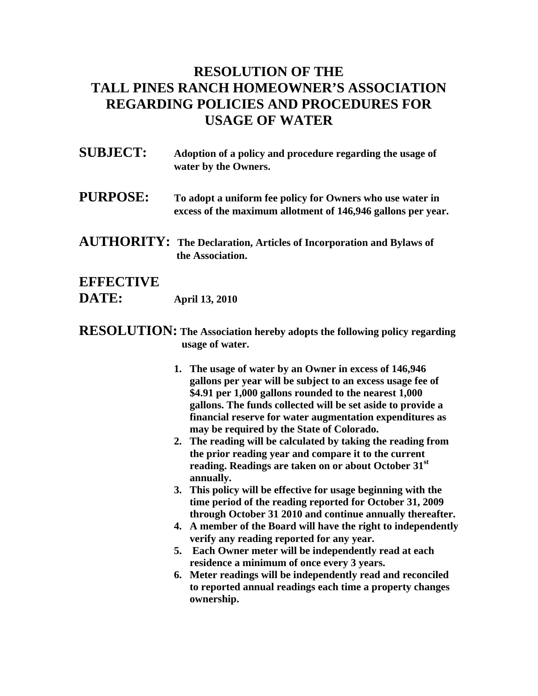## **RESOLUTION OF THE TALL PINES RANCH HOMEOWNER'S ASSOCIATION REGARDING POLICIES AND PROCEDURES FOR USAGE OF WATER**

- **SUBJECT: Adoption of a policy and procedure regarding the usage of water by the Owners.**
- **PURPOSE: To adopt a uniform fee policy for Owners who use water in excess of the maximum allotment of 146,946 gallons per year.**
- **AUTHORITY: The Declaration, Articles of Incorporation and Bylaws of the Association.**

## **EFFECTIVE DATE: April 13, 2010**

- **RESOLUTION: The Association hereby adopts the following policy regarding usage of water.** 
	- **1. The usage of water by an Owner in excess of 146,946 gallons per year will be subject to an excess usage fee of \$4.91 per 1,000 gallons rounded to the nearest 1,000 gallons. The funds collected will be set aside to provide a financial reserve for water augmentation expenditures as may be required by the State of Colorado.**
	- **2. The reading will be calculated by taking the reading from the prior reading year and compare it to the current reading. Readings are taken on or about October 31st annually.**
	- **3. This policy will be effective for usage beginning with the time period of the reading reported for October 31, 2009 through October 31 2010 and continue annually thereafter.**
	- **4. A member of the Board will have the right to independently verify any reading reported for any year.**
	- **5. Each Owner meter will be independently read at each residence a minimum of once every 3 years.**
	- **6. Meter readings will be independently read and reconciled to reported annual readings each time a property changes ownership.**